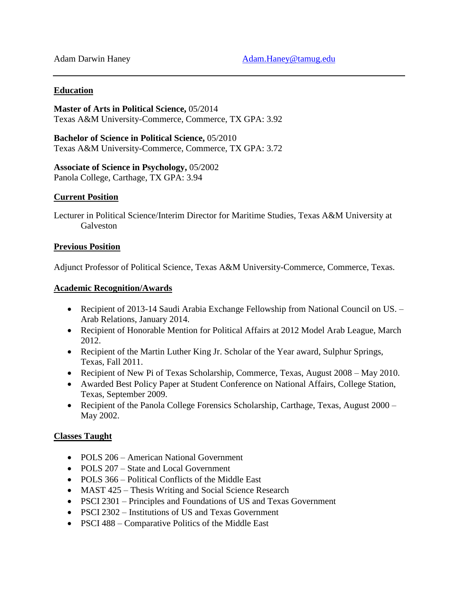### **Education**

**Master of Arts in Political Science,** 05/2014 Texas A&M University-Commerce, Commerce, TX GPA: 3.92

**Bachelor of Science in Political Science,** 05/2010 Texas A&M University-Commerce, Commerce, TX GPA: 3.72

**Associate of Science in Psychology,** 05/2002 Panola College, Carthage, TX GPA: 3.94

#### **Current Position**

Lecturer in Political Science/Interim Director for Maritime Studies, Texas A&M University at Galveston

#### **Previous Position**

Adjunct Professor of Political Science, Texas A&M University-Commerce, Commerce, Texas.

#### **Academic Recognition/Awards**

- Recipient of 2013-14 Saudi Arabia Exchange Fellowship from National Council on US. Arab Relations, January 2014.
- Recipient of Honorable Mention for Political Affairs at 2012 Model Arab League, March 2012.
- Recipient of the Martin Luther King Jr. Scholar of the Year award, Sulphur Springs, Texas, Fall 2011.
- Recipient of New Pi of Texas Scholarship, Commerce, Texas, August 2008 May 2010.
- Awarded Best Policy Paper at Student Conference on National Affairs, College Station, Texas, September 2009.
- Recipient of the Panola College Forensics Scholarship, Carthage, Texas, August 2000 May 2002.

#### **Classes Taught**

- POLS 206 American National Government
- POLS 207 State and Local Government
- POLS 366 Political Conflicts of the Middle East
- MAST 425 Thesis Writing and Social Science Research
- PSCI 2301 Principles and Foundations of US and Texas Government
- PSCI 2302 Institutions of US and Texas Government
- PSCI 488 Comparative Politics of the Middle East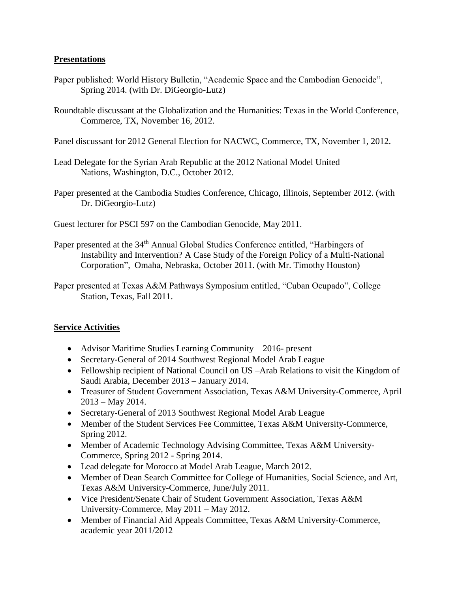### **Presentations**

- Paper published: World History Bulletin, "Academic Space and the Cambodian Genocide", Spring 2014. (with Dr. DiGeorgio-Lutz)
- Roundtable discussant at the Globalization and the Humanities: Texas in the World Conference, Commerce, TX, November 16, 2012.

Panel discussant for 2012 General Election for NACWC, Commerce, TX, November 1, 2012.

- Lead Delegate for the Syrian Arab Republic at the 2012 National Model United Nations, Washington, D.C., October 2012.
- Paper presented at the Cambodia Studies Conference, Chicago, Illinois, September 2012. (with Dr. DiGeorgio-Lutz)

Guest lecturer for PSCI 597 on the Cambodian Genocide, May 2011.

- Paper presented at the 34<sup>th</sup> Annual Global Studies Conference entitled, "Harbingers of Instability and Intervention? A Case Study of the Foreign Policy of a Multi-National Corporation", Omaha, Nebraska, October 2011. (with Mr. Timothy Houston)
- Paper presented at Texas A&M Pathways Symposium entitled, "Cuban Ocupado", College Station, Texas, Fall 2011.

# **Service Activities**

- Advisor Maritime Studies Learning Community 2016- present
- Secretary-General of 2014 Southwest Regional Model Arab League
- Fellowship recipient of National Council on US –Arab Relations to visit the Kingdom of Saudi Arabia, December 2013 – January 2014.
- Treasurer of Student Government Association, Texas A&M University-Commerce, April  $2013 - May 2014.$
- Secretary-General of 2013 Southwest Regional Model Arab League
- Member of the Student Services Fee Committee, Texas A&M University-Commerce, Spring 2012.
- Member of Academic Technology Advising Committee, Texas A&M University-Commerce, Spring 2012 - Spring 2014.
- Lead delegate for Morocco at Model Arab League, March 2012.
- Member of Dean Search Committee for College of Humanities, Social Science, and Art, Texas A&M University-Commerce, June/July 2011.
- Vice President/Senate Chair of Student Government Association, Texas A&M University-Commerce, May 2011 – May 2012.
- Member of Financial Aid Appeals Committee, Texas A&M University-Commerce, academic year 2011/2012